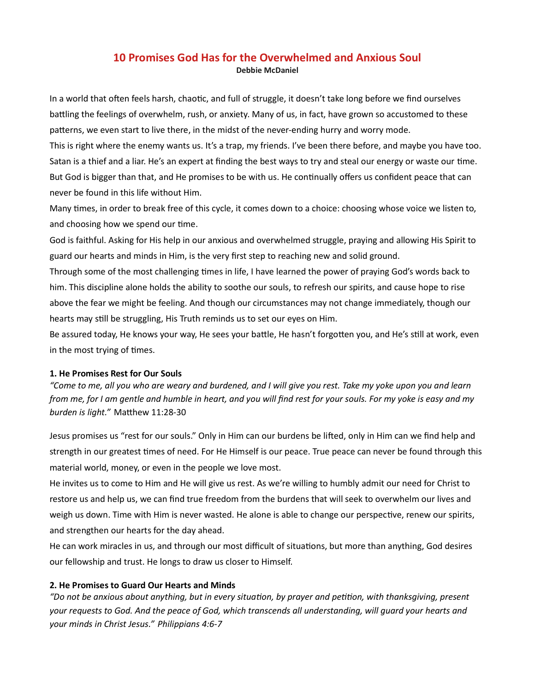### 10 Promises God Has for the Overwhelmed and Anxious Soul Debbie McDaniel

In a world that often feels harsh, chaotic, and full of struggle, it doesn't take long before we find ourselves battling the feelings of overwhelm, rush, or anxiety. Many of us, in fact, have grown so accustomed to these patterns, we even start to live there, in the midst of the never-ending hurry and worry mode.

This is right where the enemy wants us. It's a trap, my friends. I've been there before, and maybe you have too. Satan is a thief and a liar. He's an expert at finding the best ways to try and steal our energy or waste our time. But God is bigger than that, and He promises to be with us. He continually offers us confident peace that can never be found in this life without Him.

Many times, in order to break free of this cycle, it comes down to a choice: choosing whose voice we listen to, and choosing how we spend our time.

God is faithful. Asking for His help in our anxious and overwhelmed struggle, praying and allowing His Spirit to guard our hearts and minds in Him, is the very first step to reaching new and solid ground.

Through some of the most challenging times in life, I have learned the power of praying God's words back to him. This discipline alone holds the ability to soothe our souls, to refresh our spirits, and cause hope to rise above the fear we might be feeling. And though our circumstances may not change immediately, though our hearts may still be struggling, His Truth reminds us to set our eyes on Him.

Be assured today, He knows your way, He sees your battle, He hasn't forgotten you, and He's still at work, even in the most trying of times.

### 1. He Promises Rest for Our Souls

"Come to me, all you who are weary and burdened, and I will give you rest. Take my yoke upon you and learn from me, for I am gentle and humble in heart, and you will find rest for your souls. For my yoke is easy and my burden is light." Matthew 11:28-30

Jesus promises us "rest for our souls." Only in Him can our burdens be lifted, only in Him can we find help and strength in our greatest times of need. For He Himself is our peace. True peace can never be found through this material world, money, or even in the people we love most.

He invites us to come to Him and He will give us rest. As we're willing to humbly admit our need for Christ to restore us and help us, we can find true freedom from the burdens that will seek to overwhelm our lives and weigh us down. Time with Him is never wasted. He alone is able to change our perspective, renew our spirits, and strengthen our hearts for the day ahead.

He can work miracles in us, and through our most difficult of situations, but more than anything, God desires our fellowship and trust. He longs to draw us closer to Himself.

### 2. He Promises to Guard Our Hearts and Minds

"Do not be anxious about anything, but in every situation, by prayer and petition, with thanksgiving, present your requests to God. And the peace of God, which transcends all understanding, will guard your hearts and your minds in Christ Jesus." Philippians 4:6-7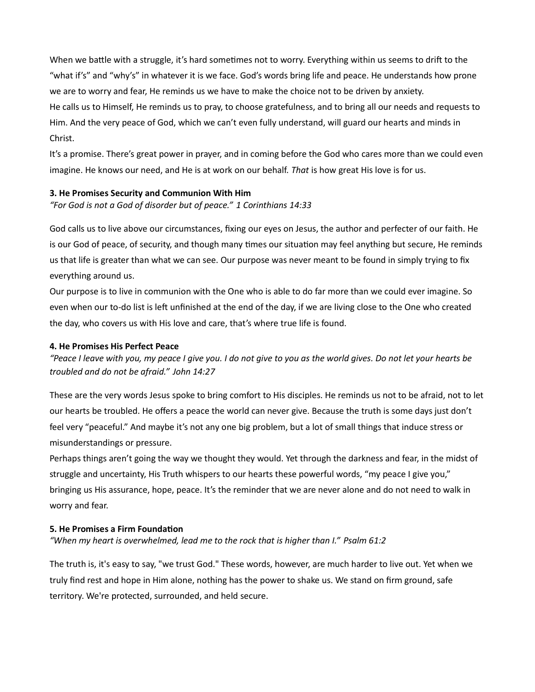When we battle with a struggle, it's hard sometimes not to worry. Everything within us seems to drift to the "what if's" and "why's" in whatever it is we face. God's words bring life and peace. He understands how prone we are to worry and fear, He reminds us we have to make the choice not to be driven by anxiety. He calls us to Himself, He reminds us to pray, to choose gratefulness, and to bring all our needs and requests to Him. And the very peace of God, which we can't even fully understand, will guard our hearts and minds in Christ.

It's a promise. There's great power in prayer, and in coming before the God who cares more than we could even imagine. He knows our need, and He is at work on our behalf. That is how great His love is for us.

### 3. He Promises Security and Communion With Him

"For God is not a God of disorder but of peace." 1 Corinthians 14:33

God calls us to live above our circumstances, fixing our eyes on Jesus, the author and perfecter of our faith. He is our God of peace, of security, and though many times our situation may feel anything but secure, He reminds us that life is greater than what we can see. Our purpose was never meant to be found in simply trying to fix everything around us.

Our purpose is to live in communion with the One who is able to do far more than we could ever imagine. So even when our to-do list is left unfinished at the end of the day, if we are living close to the One who created the day, who covers us with His love and care, that's where true life is found.

### 4. He Promises His Perfect Peace

"Peace I leave with you, my peace I give you. I do not give to you as the world gives. Do not let your hearts be troubled and do not be afraid." John 14:27

These are the very words Jesus spoke to bring comfort to His disciples. He reminds us not to be afraid, not to let our hearts be troubled. He offers a peace the world can never give. Because the truth is some days just don't feel very "peaceful." And maybe it's not any one big problem, but a lot of small things that induce stress or misunderstandings or pressure.

Perhaps things aren't going the way we thought they would. Yet through the darkness and fear, in the midst of struggle and uncertainty, His Truth whispers to our hearts these powerful words, "my peace I give you," bringing us His assurance, hope, peace. It's the reminder that we are never alone and do not need to walk in worry and fear.

### 5. He Promises a Firm Foundation

"When my heart is overwhelmed, lead me to the rock that is higher than I." Psalm 61:2

The truth is, it's easy to say, "we trust God." These words, however, are much harder to live out. Yet when we truly find rest and hope in Him alone, nothing has the power to shake us. We stand on firm ground, safe territory. We're protected, surrounded, and held secure.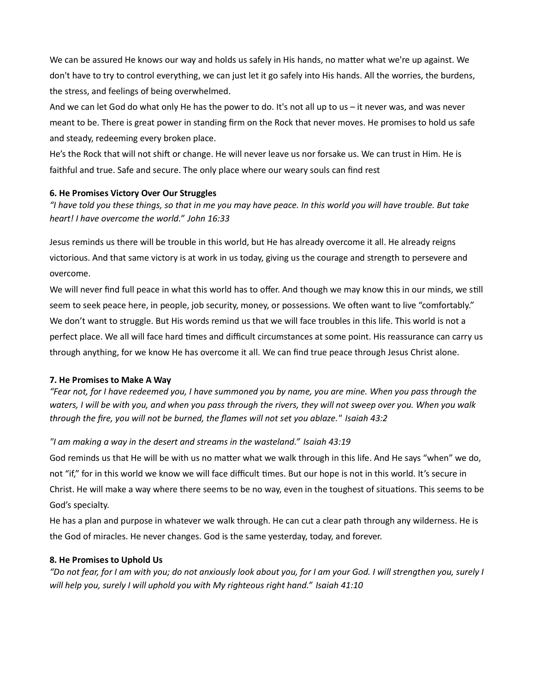We can be assured He knows our way and holds us safely in His hands, no matter what we're up against. We don't have to try to control everything, we can just let it go safely into His hands. All the worries, the burdens, the stress, and feelings of being overwhelmed.

And we can let God do what only He has the power to do. It's not all up to us – it never was, and was never meant to be. There is great power in standing firm on the Rock that never moves. He promises to hold us safe and steady, redeeming every broken place.

He's the Rock that will not shift or change. He will never leave us nor forsake us. We can trust in Him. He is faithful and true. Safe and secure. The only place where our weary souls can find rest

## 6. He Promises Victory Over Our Struggles

"I have told you these things, so that in me you may have peace. In this world you will have trouble. But take heart! I have overcome the world." John 16:33

Jesus reminds us there will be trouble in this world, but He has already overcome it all. He already reigns victorious. And that same victory is at work in us today, giving us the courage and strength to persevere and overcome.

We will never find full peace in what this world has to offer. And though we may know this in our minds, we still seem to seek peace here, in people, job security, money, or possessions. We often want to live "comfortably." We don't want to struggle. But His words remind us that we will face troubles in this life. This world is not a perfect place. We all will face hard times and difficult circumstances at some point. His reassurance can carry us through anything, for we know He has overcome it all. We can find true peace through Jesus Christ alone.

# 7. He Promises to Make A Way

"Fear not, for I have redeemed you, I have summoned you by name, you are mine. When you pass through the waters, I will be with you, and when you pass through the rivers, they will not sweep over you. When you walk through the fire, you will not be burned, the flames will not set you ablaze." Isaiah 43:2

# "I am making a way in the desert and streams in the wasteland." Isaiah 43:19

God reminds us that He will be with us no matter what we walk through in this life. And He says "when" we do, not "if," for in this world we know we will face difficult times. But our hope is not in this world. It's secure in Christ. He will make a way where there seems to be no way, even in the toughest of situations. This seems to be God's specialty.

He has a plan and purpose in whatever we walk through. He can cut a clear path through any wilderness. He is the God of miracles. He never changes. God is the same yesterday, today, and forever.

# 8. He Promises to Uphold Us

"Do not fear, for I am with you; do not anxiously look about you, for I am your God. I will strengthen you, surely I will help you, surely I will uphold you with My righteous right hand." Isaiah 41:10